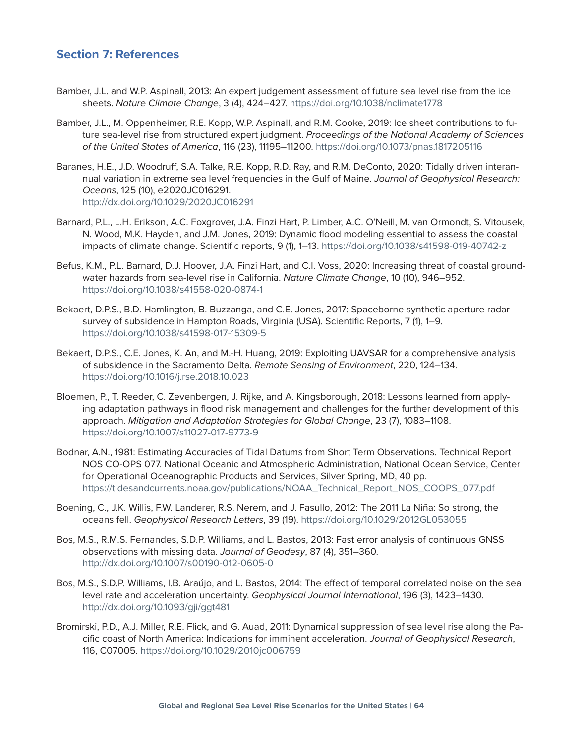## **Section 7: References**

- Bamber, J.L. and W.P. Aspinall, 2013: An expert judgement assessment of future sea level rise from the ice sheets. *Nature Climate Change*, 3 (4), 424–427. <https://doi.org/10.1038/nclimate1778>
- Bamber, J.L., M. Oppenheimer, R.E. Kopp, W.P. Aspinall, and R.M. Cooke, 2019: Ice sheet contributions to future sea-level rise from structured expert judgment. *Proceedings of the National Academy of Sciences of the United States of America*, 116 (23), 11195–11200. <https://doi.org/10.1073/pnas.1817205116>
- Baranes, H.E., J.D. Woodruff, S.A. Talke, R.E. Kopp, R.D. Ray, and R.M. DeConto, 2020: Tidally driven interannual variation in extreme sea level frequencies in the Gulf of Maine. *Journal of Geophysical Research: Oceans*, 125 (10), e2020JC016291. <http://dx.doi.org/10.1029/2020JC016291>
- Barnard, P.L., L.H. Erikson, A.C. Foxgrover, J.A. Finzi Hart, P. Limber, A.C. O'Neill, M. van Ormondt, S. Vitousek, N. Wood, M.K. Hayden, and J.M. Jones, 2019: Dynamic flood modeling essential to assess the coastal impacts of climate change. Scientific reports, 9 (1), 1–13.<https://doi.org/10.1038/s41598-019-40742-z>
- Befus, K.M., P.L. Barnard, D.J. Hoover, J.A. Finzi Hart, and C.I. Voss, 2020: Increasing threat of coastal groundwater hazards from sea-level rise in California. *Nature Climate Change*, 10 (10), 946–952. <https://doi.org/10.1038/s41558-020-0874-1>
- Bekaert, D.P.S., B.D. Hamlington, B. Buzzanga, and C.E. Jones, 2017: Spaceborne synthetic aperture radar survey of subsidence in Hampton Roads, Virginia (USA). Scientific Reports, 7 (1), 1–9. <https://doi.org/10.1038/s41598-017-15309-5>
- Bekaert, D.P.S., C.E. Jones, K. An, and M.-H. Huang, 2019: Exploiting UAVSAR for a comprehensive analysis of subsidence in the Sacramento Delta. *Remote Sensing of Environment*, 220, 124–134. <https://doi.org/10.1016/j.rse.2018.10.023>
- Bloemen, P., T. Reeder, C. Zevenbergen, J. Rijke, and A. Kingsborough, 2018: Lessons learned from applying adaptation pathways in flood risk management and challenges for the further development of this approach. *Mitigation and Adaptation Strategies for Global Change*, 23 (7), 1083–1108. [https://doi.org/10.1007/s11027-017-9773-9](https://doi.org/10.1007/s11027-017-9773-9 )
- Bodnar, A.N., 1981: Estimating Accuracies of Tidal Datums from Short Term Observations. Technical Report NOS CO-OPS 077. National Oceanic and Atmospheric Administration, National Ocean Service, Center for Operational Oceanographic Products and Services, Silver Spring, MD, 40 pp. [https://tidesandcurrents.noaa.gov/publications/NOAA\\_Technical\\_Report\\_NOS\\_COOPS\\_077.pdf](https://tidesandcurrents.noaa.gov/publications/NOAA_Technical_Report_NOS_COOPS_077.pdf)
- Boening, C., J.K. Willis, F.W. Landerer, R.S. Nerem, and J. Fasullo, 2012: The 2011 La Niña: So strong, the oceans fell. *Geophysical Research Letters*, 39 (19).<https://doi.org/10.1029/2012GL053055>
- Bos, M.S., R.M.S. Fernandes, S.D.P. Williams, and L. Bastos, 2013: Fast error analysis of continuous GNSS observations with missing data. *Journal of Geodesy*, 87 (4), 351–360. <http://dx.doi.org/10.1007/s00190-012-0605-0>
- Bos, M.S., S.D.P. Williams, I.B. Araújo, and L. Bastos, 2014: The effect of temporal correlated noise on the sea level rate and acceleration uncertainty. *Geophysical Journal International*, 196 (3), 1423–1430. <http://dx.doi.org/10.1093/gji/ggt481>
- Bromirski, P.D., A.J. Miller, R.E. Flick, and G. Auad, 2011: Dynamical suppression of sea level rise along the Pacific coast of North America: Indications for imminent acceleration. *Journal of Geophysical Research*, 116, C07005.<https://doi.org/10.1029/2010jc006759>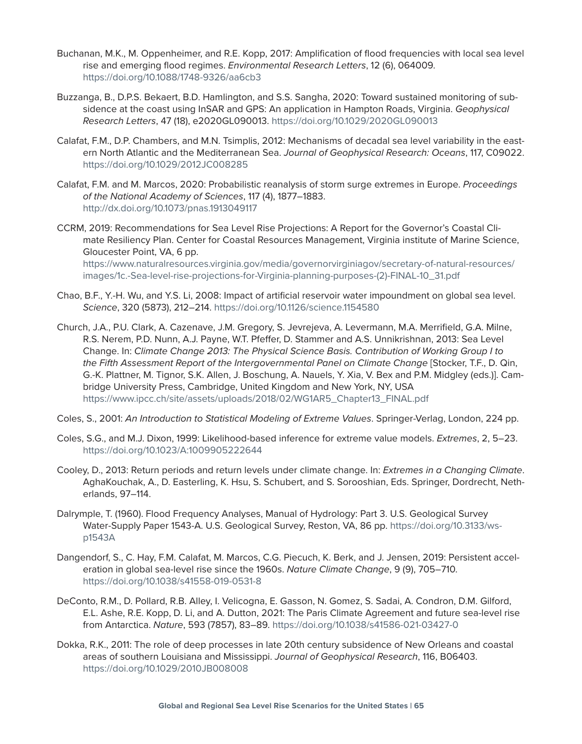- Buchanan, M.K., M. Oppenheimer, and R.E. Kopp, 2017: Amplification of flood frequencies with local sea level rise and emerging flood regimes. *Environmental Research Letters*, 12 (6), 064009. <https://doi.org/10.1088/1748-9326/aa6cb3>
- Buzzanga, B., D.P.S. Bekaert, B.D. Hamlington, and S.S. Sangha, 2020: Toward sustained monitoring of subsidence at the coast using InSAR and GPS: An application in Hampton Roads, Virginia. *Geophysical Research Letters*, 47 (18), e2020GL090013. <https://doi.org/10.1029/2020GL090013>
- Calafat, F.M., D.P. Chambers, and M.N. Tsimplis, 2012: Mechanisms of decadal sea level variability in the eastern North Atlantic and the Mediterranean Sea. *Journal of Geophysical Research: Oceans*, 117, C09022. <https://doi.org/10.1029/2012JC008285>
- Calafat, F.M. and M. Marcos, 2020: Probabilistic reanalysis of storm surge extremes in Europe. *Proceedings of the National Academy of Sciences*, 117 (4), 1877–1883. <http://dx.doi.org/10.1073/pnas.1913049117>

CCRM, 2019: Recommendations for Sea Level Rise Projections: A Report for the Governor's Coastal Climate Resiliency Plan. Center for Coastal Resources Management, Virginia institute of Marine Science, Gloucester Point, VA, 6 pp. [https://www.naturalresources.virginia.gov/media/governorvirginiagov/secretary-of-natural-resources/](https://www.naturalresources.virginia.gov/media/governorvirginiagov/secretary-of-natural-resources/images/1c.-Sea-level-rise-projections-for-Virginia-planning-purposes-(2)-FINAL-10_31.pdf) [images/1c.-Sea-level-rise-projections-for-Virginia-planning-purposes-\(2\)-FINAL-10\\_31.pdf](https://www.naturalresources.virginia.gov/media/governorvirginiagov/secretary-of-natural-resources/images/1c.-Sea-level-rise-projections-for-Virginia-planning-purposes-(2)-FINAL-10_31.pdf)

- Chao, B.F., Y.-H. Wu, and Y.S. Li, 2008: Impact of artificial reservoir water impoundment on global sea level. *Science*, 320 (5873), 212–214. <https://doi.org/10.1126/science.1154580>
- Church, J.A., P.U. Clark, A. Cazenave, J.M. Gregory, S. Jevrejeva, A. Levermann, M.A. Merrifield, G.A. Milne, R.S. Nerem, P.D. Nunn, A.J. Payne, W.T. Pfeffer, D. Stammer and A.S. Unnikrishnan, 2013: Sea Level Change. In: *Climate Change 2013: The Physical Science Basis. Contribution of Working Group I to the Fifth Assessment Report of the Intergovernmental Panel on Climate Change* [Stocker, T.F., D. Qin, G.-K. Plattner, M. Tignor, S.K. Allen, J. Boschung, A. Nauels, Y. Xia, V. Bex and P.M. Midgley (eds.)]. Cambridge University Press, Cambridge, United Kingdom and New York, NY, USA [https://www.ipcc.ch/site/assets/uploads/2018/02/WG1AR5\\_Chapter13\\_FINAL.pdf](https://www.ipcc.ch/site/assets/uploads/2018/02/WG1AR5_Chapter13_FINAL.pdf
)
- Coles, S., 2001: *An Introduction to Statistical Modeling of Extreme Values*. Springer-Verlag, London, 224 pp.
- Coles, S.G., and M.J. Dixon, 1999: Likelihood-based inference for extreme value models. *Extremes*, 2, 5–23. <https://doi.org/10.1023/A:1009905222644>
- Cooley, D., 2013: Return periods and return levels under climate change. In: *Extremes in a Changing Climate*. AghaKouchak, A., D. Easterling, K. Hsu, S. Schubert, and S. Sorooshian, Eds. Springer, Dordrecht, Netherlands, 97–114.
- Dalrymple, T. (1960). Flood Frequency Analyses, Manual of Hydrology: Part 3. U.S. Geological Survey Water-Supply Paper 1543-A. U.S. Geological Survey, Reston, VA, 86 pp. [https://doi.org/10.3133/ws](https://doi.org/10.3133/wsp1543A)[p1543A](https://doi.org/10.3133/wsp1543A)
- Dangendorf, S., C. Hay, F.M. Calafat, M. Marcos, C.G. Piecuch, K. Berk, and J. Jensen, 2019: Persistent acceleration in global sea-level rise since the 1960s. *Nature Climate Change*, 9 (9), 705–710. <https://doi.org/10.1038/s41558-019-0531-8>
- DeConto, R.M., D. Pollard, R.B. Alley, I. Velicogna, E. Gasson, N. Gomez, S. Sadai, A. Condron, D.M. Gilford, E.L. Ashe, R.E. Kopp, D. Li, and A. Dutton, 2021: The Paris Climate Agreement and future sea-level rise from Antarctica. *Nature*, 593 (7857), 83–89.<https://doi.org/10.1038/s41586-021-03427-0>
- Dokka, R.K., 2011: The role of deep processes in late 20th century subsidence of New Orleans and coastal areas of southern Louisiana and Mississippi. *Journal of Geophysical Research*, 116, B06403. <https://doi.org/10.1029/2010JB008008>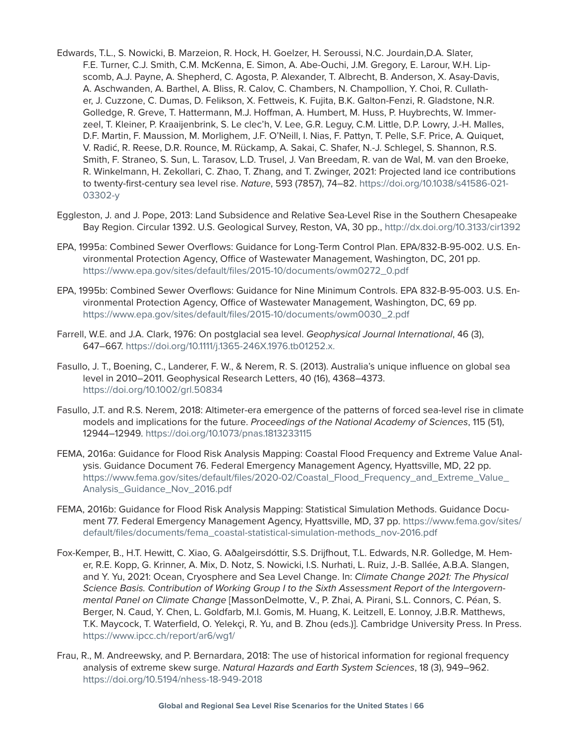- Edwards, T.L., S. Nowicki, B. Marzeion, R. Hock, H. Goelzer, H. Seroussi, N.C. Jourdain,D.A. Slater, F.E. Turner, C.J. Smith, C.M. McKenna, E. Simon, A. Abe-Ouchi, J.M. Gregory, E. Larour, W.H. Lipscomb, A.J. Payne, A. Shepherd, C. Agosta, P. Alexander, T. Albrecht, B. Anderson, X. Asay-Davis, A. Aschwanden, A. Barthel, A. Bliss, R. Calov, C. Chambers, N. Champollion, Y. Choi, R. Cullather, J. Cuzzone, C. Dumas, D. Felikson, X. Fettweis, K. Fujita, B.K. Galton-Fenzi, R. Gladstone, N.R. Golledge, R. Greve, T. Hattermann, M.J. Hoffman, A. Humbert, M. Huss, P. Huybrechts, W. Immerzeel, T. Kleiner, P. Kraaijenbrink, S. Le clec'h, V. Lee, G.R. Leguy, C.M. Little, D.P. Lowry, J.-H. Malles, D.F. Martin, F. Maussion, M. Morlighem, J.F. O'Neill, I. Nias, F. Pattyn, T. Pelle, S.F. Price, A. Quiquet, V. Radić, R. Reese, D.R. Rounce, M. Rückamp, A. Sakai, C. Shafer, N.-J. Schlegel, S. Shannon, R.S. Smith, F. Straneo, S. Sun, L. Tarasov, L.D. Trusel, J. Van Breedam, R. van de Wal, M. van den Broeke, R. Winkelmann, H. Zekollari, C. Zhao, T. Zhang, and T. Zwinger, 2021: Projected land ice contributions to twenty-first-century sea level rise. *Nature*, 593 (7857), 74–82. [https://doi.org/10.1038/s41586-021-](https://doi.org/10.1038/s41586-021-03302-y) [03302-y](https://doi.org/10.1038/s41586-021-03302-y)
- Eggleston, J. and J. Pope, 2013: Land Subsidence and Relative Sea-Level Rise in the Southern Chesapeake Bay Region. Circular 1392. U.S. Geological Survey, Reston, VA, 30 pp.,<http://dx.doi.org/10.3133/cir1392>
- EPA, 1995a: Combined Sewer Overflows: Guidance for Long-Term Control Plan. EPA/832-B-95-002. U.S. Environmental Protection Agency, Office of Wastewater Management, Washington, DC, 201 pp. [https://www.epa.gov/sites/default/files/2015-10/documents/owm0272\\_0.pdf](https://www.epa.gov/sites/default/files/2015-10/documents/owm0272_0.pdf)
- EPA, 1995b: Combined Sewer Overflows: Guidance for Nine Minimum Controls. EPA 832-B-95-003. U.S. Environmental Protection Agency, Office of Wastewater Management, Washington, DC, 69 pp. [https://www.epa.gov/sites/default/files/2015-10/documents/owm0030\\_2.pdf](https://www.ipcc.ch/site/assets/uploads/2018/02/WG1AR5_Chapter13_FINAL.pdf)
- Farrell, W.E. and J.A. Clark, 1976: On postglacial sea level. *Geophysical Journal International*, 46 (3), 647–667.<https://doi.org/10.1111/j.1365-246X.1976.tb01252.x>.
- Fasullo, J. T., Boening, C., Landerer, F. W., & Nerem, R. S. (2013). Australia's unique influence on global sea level in 2010–2011. Geophysical Research Letters, 40 (16), 4368–4373. <https://doi.org/10.1002/grl.50834>
- Fasullo, J.T. and R.S. Nerem, 2018: Altimeter-era emergence of the patterns of forced sea-level rise in climate models and implications for the future. *Proceedings of the National Academy of Sciences*, 115 (51), 12944–12949.<https://doi.org/10.1073/pnas.1813233115>
- FEMA, 2016a: Guidance for Flood Risk Analysis Mapping: Coastal Flood Frequency and Extreme Value Analysis. Guidance Document 76. Federal Emergency Management Agency, Hyattsville, MD, 22 pp. [https://www.fema.gov/sites/default/files/2020-02/Coastal\\_Flood\\_Frequency\\_and\\_Extreme\\_Value\\_](https://www.fema.gov/sites/default/files/2020-02/Coastal_Flood_Frequency_and_Extreme_Value_Analysis_Guidance_Nov_2016.pdf) [Analysis\\_Guidance\\_Nov\\_2016.pdf](https://www.fema.gov/sites/default/files/2020-02/Coastal_Flood_Frequency_and_Extreme_Value_Analysis_Guidance_Nov_2016.pdf)
- FEMA, 2016b: Guidance for Flood Risk Analysis Mapping: Statistical Simulation Methods. Guidance Document 77. Federal Emergency Management Agency, Hyattsville, MD, 37 pp. [https://www.fema.gov/sites/](https://www.fema.gov/sites/default/files/documents/fema_coastal-statistical-simulation-methods_nov-2016.pdf) [default/files/documents/fema\\_coastal-statistical-simulation-methods\\_nov-2016.pdf](https://www.fema.gov/sites/default/files/documents/fema_coastal-statistical-simulation-methods_nov-2016.pdf)
- Fox-Kemper, B., H.T. Hewitt, C. Xiao, G. Aðalgeirsdóttir, S.S. Drijfhout, T.L. Edwards, N.R. Golledge, M. Hemer, R.E. Kopp, G. Krinner, A. Mix, D. Notz, S. Nowicki, I.S. Nurhati, L. Ruiz, J.-B. Sallée, A.B.A. Slangen, and Y. Yu, 2021: Ocean, Cryosphere and Sea Level Change. In: *Climate Change 2021: The Physical Science Basis. Contribution of Working Group I to the Sixth Assessment Report of the Intergovernmental Panel on Climate Change* [MassonDelmotte, V., P. Zhai, A. Pirani, S.L. Connors, C. Péan, S. Berger, N. Caud, Y. Chen, L. Goldfarb, M.I. Gomis, M. Huang, K. Leitzell, E. Lonnoy, J.B.R. Matthews, T.K. Maycock, T. Waterfield, O. Yelekçi, R. Yu, and B. Zhou (eds.)]. Cambridge University Press. In Press. <https://www.ipcc.ch/report/ar6/wg1/>
- Frau, R., M. Andreewsky, and P. Bernardara, 2018: The use of historical information for regional frequency analysis of extreme skew surge. *Natural Hazards and Earth System Sciences*, 18 (3), 949–962. <https://doi.org/10.5194/nhess-18-949-2018>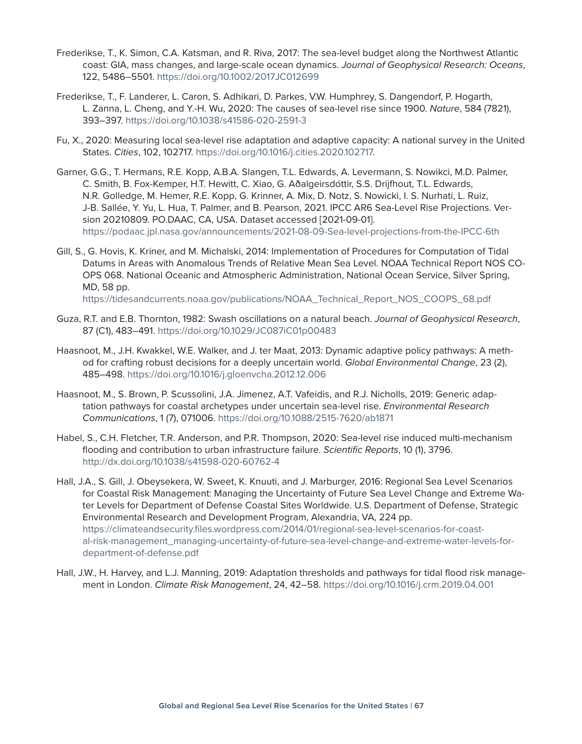- Frederikse, T., K. Simon, C.A. Katsman, and R. Riva, 2017: The sea-level budget along the Northwest Atlantic coast: GIA, mass changes, and large-scale ocean dynamics. *Journal of Geophysical Research: Oceans*, 122, 5486–5501. <https://doi.org/10.1002/2017JC012699>
- Frederikse, T., F. Landerer, L. Caron, S. Adhikari, D. Parkes, V.W. Humphrey, S. Dangendorf, P. Hogarth, L. Zanna, L. Cheng, and Y.-H. Wu, 2020: The causes of sea-level rise since 1900. *Nature*, 584 (7821), 393–397. <https://doi.org/10.1038/s41586-020-2591-3>
- Fu, X., 2020: Measuring local sea-level rise adaptation and adaptive capacity: A national survey in the United States. *Cities*, 102, 102717. [https://doi.org/10.1016/j.cities.2020.102717.](https://doi.org/10.1016/j.cities.2020.102717)
- Garner, G.G., T. Hermans, R.E. Kopp, A.B.A. Slangen, T.L. Edwards, A. Levermann, S. Nowikci, M.D. Palmer, C. Smith, B. Fox-Kemper, H.T. Hewitt, C. Xiao, G. Aðalgeirsdóttir, S.S. Drijfhout, T.L. Edwards, N.R. Golledge, M. Hemer, R.E. Kopp, G. Krinner, A. Mix, D. Notz, S. Nowicki, I. S. Nurhati, L. Ruiz, J-B. Sallée, Y. Yu, L. Hua, T. Palmer, and B. Pearson, 2021. IPCC AR6 Sea-Level Rise Projections. Version 20210809. PO.DAAC, CA, USA. Dataset accessed [2021-09-01]. <https://podaac.jpl.nasa.gov/announcements/2021-08-09-Sea-level-projections-from-the-IPCC-6th>
- Gill, S., G. Hovis, K. Kriner, and M. Michalski, 2014: Implementation of Procedures for Computation of Tidal Datums in Areas with Anomalous Trends of Relative Mean Sea Level. NOAA Technical Report NOS CO-OPS 068. National Oceanic and Atmospheric Administration, National Ocean Service, Silver Spring, MD, 58 pp.

[https://tidesandcurrents.noaa.gov/publications/NOAA\\_Technical\\_Report\\_NOS\\_COOPS\\_68.pdf](https://tidesandcurrents.noaa.gov/publications/NOAA_Technical_Report_NOS_COOPS_68.pdf)

- Guza, R.T. and E.B. Thornton, 1982: Swash oscillations on a natural beach. *Journal of Geophysical Research*, 87 (C1), 483–491. <https://doi.org/10.1029/JC087iC01p00483>
- Haasnoot, M., J.H. Kwakkel, W.E. Walker, and J. ter Maat, 2013: Dynamic adaptive policy pathways: A method for crafting robust decisions for a deeply uncertain world. *Global Environmental Change*, 23 (2), 485–498. <https://doi.org/10.1016/j.gloenvcha.2012.12.006>
- Haasnoot, M., S. Brown, P. Scussolini, J.A. Jimenez, A.T. Vafeidis, and R.J. Nicholls, 2019: Generic adaptation pathways for coastal archetypes under uncertain sea-level rise. *Environmental Research Communications*, 1 (7), 071006. <https://doi.org/10.1088/2515-7620/ab1871>
- Habel, S., C.H. Fletcher, T.R. Anderson, and P.R. Thompson, 2020: Sea-level rise induced multi-mechanism flooding and contribution to urban infrastructure failure. *Scientific Reports*, 10 (1), 3796. <http://dx.doi.org/10.1038/s41598-020-60762-4>
- Hall, J.A., S. Gill, J. Obeysekera, W. Sweet, K. Knuuti, and J. Marburger, 2016: Regional Sea Level Scenarios for Coastal Risk Management: Managing the Uncertainty of Future Sea Level Change and Extreme Water Levels for Department of Defense Coastal Sites Worldwide. U.S. Department of Defense, Strategic Environmental Research and Development Program, Alexandria, VA, 224 pp. [https://climateandsecurity.files.wordpress.com/2014/01/regional-sea-level-scenarios-for-coast](https://climateandsecurity.files.wordpress.com/2014/01/regional-sea-level-scenarios-for-coastal-risk-management_managing-uncertainty-of-future-sea-level-change-and-extreme-water-levels-for-department-of-defense.pdf)[al-risk-management\\_managing-uncertainty-of-future-sea-level-change-and-extreme-water-levels-for](https://climateandsecurity.files.wordpress.com/2014/01/regional-sea-level-scenarios-for-coastal-risk-management_managing-uncertainty-of-future-sea-level-change-and-extreme-water-levels-for-department-of-defense.pdf)[department-of-defense.pdf](https://climateandsecurity.files.wordpress.com/2014/01/regional-sea-level-scenarios-for-coastal-risk-management_managing-uncertainty-of-future-sea-level-change-and-extreme-water-levels-for-department-of-defense.pdf)
- Hall, J.W., H. Harvey, and L.J. Manning, 2019: Adaptation thresholds and pathways for tidal flood risk management in London. *Climate Risk Management*, 24, 42–58.<https://doi.org/10.1016/j.crm.2019.04.001>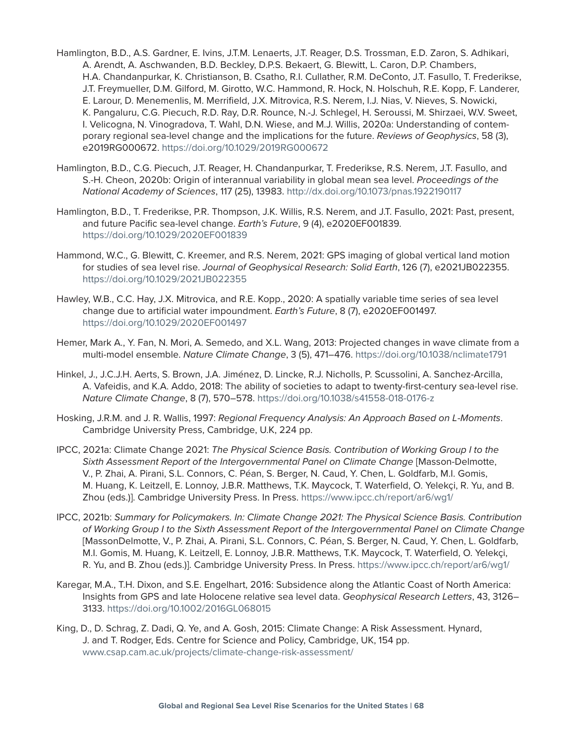- Hamlington, B.D., A.S. Gardner, E. Ivins, J.T.M. Lenaerts, J.T. Reager, D.S. Trossman, E.D. Zaron, S. Adhikari, A. Arendt, A. Aschwanden, B.D. Beckley, D.P.S. Bekaert, G. Blewitt, L. Caron, D.P. Chambers, H.A. Chandanpurkar, K. Christianson, B. Csatho, R.I. Cullather, R.M. DeConto, J.T. Fasullo, T. Frederikse, J.T. Freymueller, D.M. Gilford, M. Girotto, W.C. Hammond, R. Hock, N. Holschuh, R.E. Kopp, F. Landerer, E. Larour, D. Menemenlis, M. Merrifield, J.X. Mitrovica, R.S. Nerem, I.J. Nias, V. Nieves, S. Nowicki, K. Pangaluru, C.G. Piecuch, R.D. Ray, D.R. Rounce, N.-J. Schlegel, H. Seroussi, M. Shirzaei, W.V. Sweet, I. Velicogna, N. Vinogradova, T. Wahl, D.N. Wiese, and M.J. Willis, 2020a: Understanding of contemporary regional sea-level change and the implications for the future. *Reviews of Geophysics*, 58 (3), e2019RG000672.<https://doi.org/10.1029/2019RG000672>
- Hamlington, B.D., C.G. Piecuch, J.T. Reager, H. Chandanpurkar, T. Frederikse, R.S. Nerem, J.T. Fasullo, and S.-H. Cheon, 2020b: Origin of interannual variability in global mean sea level. *Proceedings of the National Academy of Sciences*, 117 (25), 13983.<http://dx.doi.org/10.1073/pnas.1922190117>
- Hamlington, B.D., T. Frederikse, P.R. Thompson, J.K. Willis, R.S. Nerem, and J.T. Fasullo, 2021: Past, present, and future Pacific sea-level change. *Earth's Future*, 9 (4), e2020EF001839. <https://doi.org/10.1029/2020EF001839>
- Hammond, W.C., G. Blewitt, C. Kreemer, and R.S. Nerem, 2021: GPS imaging of global vertical land motion for studies of sea level rise. *Journal of Geophysical Research: Solid Earth*, 126 (7), e2021JB022355. <https://doi.org/10.1029/2021JB022355>
- Hawley, W.B., C.C. Hay, J.X. Mitrovica, and R.E. Kopp., 2020: A spatially variable time series of sea level change due to artificial water impoundment. *Earth's Future*, 8 (7), e2020EF001497. <https://doi.org/10.1029/2020EF001497>
- Hemer, Mark A., Y. Fan, N. Mori, A. Semedo, and X.L. Wang, 2013: Projected changes in wave climate from a multi-model ensemble. *Nature Climate Change*, 3 (5), 471–476. <https://doi.org/10.1038/nclimate1791>
- Hinkel, J., J.C.J.H. Aerts, S. Brown, J.A. Jiménez, D. Lincke, R.J. Nicholls, P. Scussolini, A. Sanchez-Arcilla, A. Vafeidis, and K.A. Addo, 2018: The ability of societies to adapt to twenty-first-century sea-level rise. *Nature Climate Change*, 8 (7), 570–578. <https://doi.org/10.1038/s41558-018-0176-z>
- Hosking, J.R.M. and J. R. Wallis, 1997: *Regional Frequency Analysis: An Approach Based on L-Moments*. Cambridge University Press, Cambridge, U.K, 224 pp.
- IPCC, 2021a: Climate Change 2021: *The Physical Science Basis. Contribution of Working Group I to the Sixth Assessment Report of the Intergovernmental Panel on Climate Change* [Masson-Delmotte, V., P. Zhai, A. Pirani, S.L. Connors, C. Péan, S. Berger, N. Caud, Y. Chen, L. Goldfarb, M.I. Gomis, M. Huang, K. Leitzell, E. Lonnoy, J.B.R. Matthews, T.K. Maycock, T. Waterfield, O. Yelekçi, R. Yu, and B. Zhou (eds.)]. Cambridge University Press. In Press.<https://www.ipcc.ch/report/ar6/wg1/>
- IPCC, 2021b: *Summary for Policymakers. In: Climate Change 2021: The Physical Science Basis. Contribution of Working Group I to the Sixth Assessment Report of the Intergovernmental Panel on Climate Change* [MassonDelmotte, V., P. Zhai, A. Pirani, S.L. Connors, C. Péan, S. Berger, N. Caud, Y. Chen, L. Goldfarb, M.I. Gomis, M. Huang, K. Leitzell, E. Lonnoy, J.B.R. Matthews, T.K. Maycock, T. Waterfield, O. Yelekçi, R. Yu, and B. Zhou (eds.)]. Cambridge University Press. In Press.<https://www.ipcc.ch/report/ar6/wg1/>
- Karegar, M.A., T.H. Dixon, and S.E. Engelhart, 2016: Subsidence along the Atlantic Coast of North America: Insights from GPS and late Holocene relative sea level data. *Geophysical Research Letters*, 43, 3126– 3133.<https://doi.org/10.1002/2016GL068015>
- King, D., D. Schrag, Z. Dadi, Q. Ye, and A. Gosh, 2015: Climate Change: A Risk Assessment. Hynard, J. and T. Rodger, Eds. Centre for Science and Policy, Cambridge, UK, 154 pp. [www.csap.cam.ac.uk/projects/climate-change-risk-assessment/](https://www.csap.cam.ac.uk/projects/climate-change-risk-assessment/)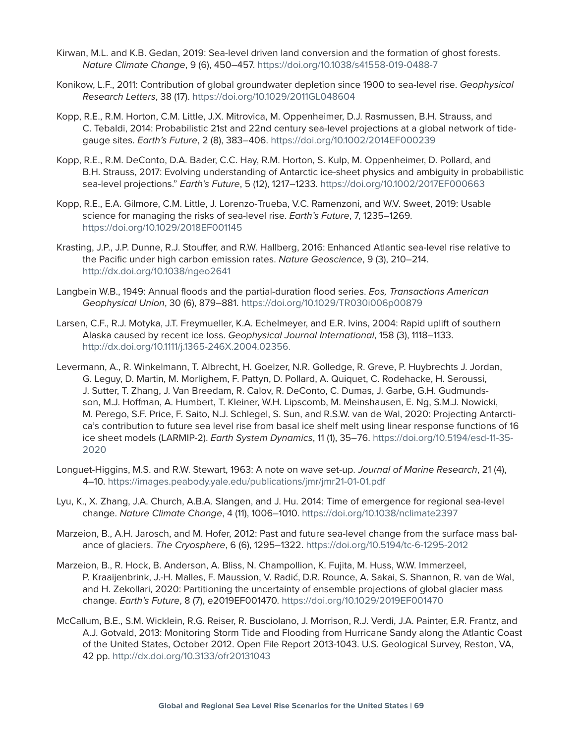- Kirwan, M.L. and K.B. Gedan, 2019: Sea-level driven land conversion and the formation of ghost forests. *Nature Climate Change*, 9 (6), 450–457. <https://doi.org/10.1038/s41558-019-0488-7>
- Konikow, L.F., 2011: Contribution of global groundwater depletion since 1900 to sea-level rise. *Geophysical Research Letters*, 38 (17).<https://doi.org/10.1029/2011GL048604>
- Kopp, R.E., R.M. Horton, C.M. Little, J.X. Mitrovica, M. Oppenheimer, D.J. Rasmussen, B.H. Strauss, and C. Tebaldi, 2014: Probabilistic 21st and 22nd century sea-level projections at a global network of tidegauge sites. *Earth's Future*, 2 (8), 383–406. <https://doi.org/10.1002/2014EF000239>
- Kopp, R.E., R.M. DeConto, D.A. Bader, C.C. Hay, R.M. Horton, S. Kulp, M. Oppenheimer, D. Pollard, and B.H. Strauss, 2017: Evolving understanding of Antarctic ice-sheet physics and ambiguity in probabilistic sea-level projections." *Earth's Future*, 5 (12), 1217–1233. <https://doi.org/10.1002/2017EF000663>
- Kopp, R.E., E.A. Gilmore, C.M. Little, J. Lorenzo-Trueba, V.C. Ramenzoni, and W.V. Sweet, 2019: Usable science for managing the risks of sea-level rise. *Earth's Future*, 7, 1235–1269. <https://doi.org/10.1029/2018EF001145>
- Krasting, J.P., J.P. Dunne, R.J. Stouffer, and R.W. Hallberg, 2016: Enhanced Atlantic sea-level rise relative to the Pacific under high carbon emission rates. *Nature Geoscience*, 9 (3), 210–214. <http://dx.doi.org/10.1038/ngeo2641>
- Langbein W.B., 1949: Annual floods and the partial-duration flood series. *Eos, Transactions American Geophysical Union*, 30 (6), 879–881. <https://doi.org/10.1029/TR030i006p00879>
- Larsen, C.F., R.J. Motyka, J.T. Freymueller, K.A. Echelmeyer, and E.R. Ivins, 2004: Rapid uplift of southern Alaska caused by recent ice loss. *Geophysical Journal International*, 158 (3), 1118–1133. [http://dx.doi.org/10.1111/j.1365-246X.2004.02356.](http://dx.doi.org/10.1111/j.1365-246X.2004.02356.x)
- Levermann, A., R. Winkelmann, T. Albrecht, H. Goelzer, N.R. Golledge, R. Greve, P. Huybrechts J. Jordan, G. Leguy, D. Martin, M. Morlighem, F. Pattyn, D. Pollard, A. Quiquet, C. Rodehacke, H. Seroussi, J. Sutter, T. Zhang, J. Van Breedam, R. Calov, R. DeConto, C. Dumas, J. Garbe, G.H. Gudmundsson, M.J. Hoffman, A. Humbert, T. Kleiner, W.H. Lipscomb, M. Meinshausen, E. Ng, S.M.J. Nowicki, M. Perego, S.F. Price, F. Saito, N.J. Schlegel, S. Sun, and R.S.W. van de Wal, 2020: Projecting Antarctica's contribution to future sea level rise from basal ice shelf melt using linear response functions of 16 ice sheet models (LARMIP-2). *Earth System Dynamics*, 11 (1), 35–76. [https://doi.org/10.5194/esd-11-35-](https://doi.org/10.5194/esd-11-35-2020) [2020](https://doi.org/10.5194/esd-11-35-2020)
- Longuet-Higgins, M.S. and R.W. Stewart, 1963: A note on wave set-up. *Journal of Marine Research*, 21 (4), 4–10.<https://images.peabody.yale.edu/publications/jmr/jmr21-01-01.pdf>
- Lyu, K., X. Zhang, J.A. Church, A.B.A. Slangen, and J. Hu. 2014: Time of emergence for regional sea-level change. *Nature Climate Change*, 4 (11), 1006–1010. [https://doi.org/10.1038/nclimate2397](https://www.nature.com/articles/nclimate2397)
- Marzeion, B., A.H. Jarosch, and M. Hofer, 2012: Past and future sea-level change from the surface mass balance of glaciers. *The Cryosphere*, 6 (6), 1295–1322. [https://doi.org/10.5194/tc-6-1295-2012](https://tc.copernicus.org/articles/6/1295/2012/)
- Marzeion, B., R. Hock, B. Anderson, A. Bliss, N. Champollion, K. Fujita, M. Huss, W.W. Immerzeel, P. Kraaijenbrink, J.-H. Malles, F. Maussion, V. Radić, D.R. Rounce, A. Sakai, S. Shannon, R. van de Wal, and H. Zekollari, 2020: Partitioning the uncertainty of ensemble projections of global glacier mass change. *Earth's Future*, 8 (7), e2019EF001470. <https://doi.org/10.1029/2019EF001470>
- McCallum, B.E., S.M. Wicklein, R.G. Reiser, R. Busciolano, J. Morrison, R.J. Verdi, J.A. Painter, E.R. Frantz, and A.J. Gotvald, 2013: Monitoring Storm Tide and Flooding from Hurricane Sandy along the Atlantic Coast of the United States, October 2012. Open File Report 2013-1043. U.S. Geological Survey, Reston, VA, 42 pp.<http://dx.doi.org/10.3133/ofr20131043>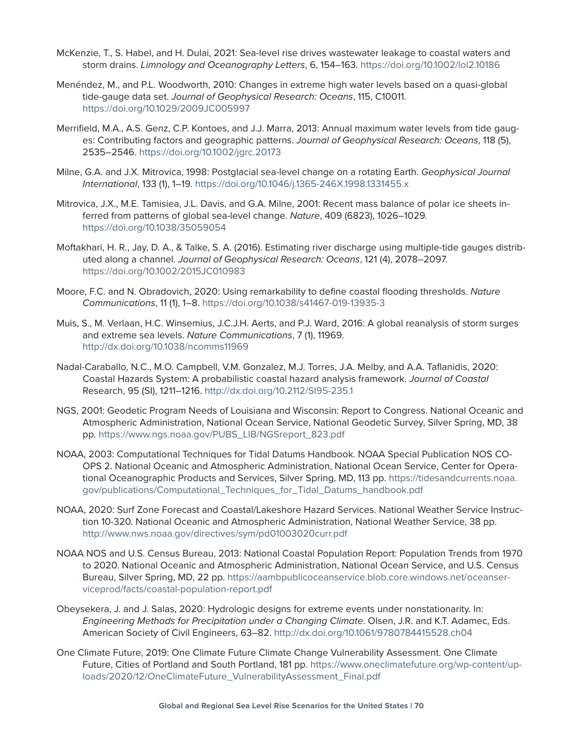- McKenzie, T., S. Habel, and H. Dulai, 2021: Sea-level rise drives wastewater leakage to coastal waters and storm drains. *Limnology and Oceanography Letters*, 6, 154–163. <https://doi.org/10.1002/lol2.10186>
- Menéndez, M., and P.L. Woodworth, 2010: Changes in extreme high water levels based on a quasi-global tide-gauge data set. *Journal of Geophysical Research: Oceans*, 115, C10011. <https://doi.org/10.1029/2009JC005997>
- Merrifield, M.A., A.S. Genz, C.P. Kontoes, and J.J. Marra, 2013: Annual maximum water levels from tide gauges: Contributing factors and geographic patterns. *Journal of Geophysical Research: Oceans*, 118 (5), 2535–2546.<https://doi.org/10.1002/jgrc.20173>
- Milne, G.A. and J.X. Mitrovica, 1998: Postglacial sea-level change on a rotating Earth. *Geophysical Journal International*, 133 (1), 1–19.<https://doi.org/10.1046/j.1365-246X.1998.1331455.x>
- Mitrovica, J.X., M.E. Tamisiea, J.L. Davis, and G.A. Milne, 2001: Recent mass balance of polar ice sheets inferred from patterns of global sea-level change. *Nature*, 409 (6823), 1026–1029. <https://doi.org/10.1038/35059054>
- Moftakhari, H. R., Jay, D. A., & Talke, S. A. (2016). Estimating river discharge using multiple-tide gauges distributed along a channel. *Journal of Geophysical Research: Oceans*, 121 (4), 2078–2097. <https://doi.org/10.1002/2015JC010983>
- Moore, F.C. and N. Obradovich, 2020: Using remarkability to define coastal flooding thresholds. *Nature Communications*, 11 (1), 1–8.<https://doi.org/10.1038/s41467-019-13935-3>
- Muis, S., M. Verlaan, H.C. Winsemius, J.C.J.H. Aerts, and P.J. Ward, 2016: A global reanalysis of storm surges and extreme sea levels. *Nature Communications*, 7 (1), 11969. <http://dx.doi.org/10.1038/ncomms11969>
- Nadal-Caraballo, N.C., M.O. Campbell, V.M. Gonzalez, M.J. Torres, J.A. Melby, and A.A. Taflanidis, 2020: Coastal Hazards System: A probabilistic coastal hazard analysis framework. *Journal of Coastal*  Research, 95 (SI), 1211–1216. <http://dx.doi.org/10.2112/SI95-235.1>
- NGS, 2001: Geodetic Program Needs of Louisiana and Wisconsin: Report to Congress. National Oceanic and Atmospheric Administration, National Ocean Service, National Geodetic Survey, Silver Spring, MD, 38 pp. [https://www.ngs.noaa.gov/PUBS\\_LIB/NGSreport\\_823.pdf](https://www.ngs.noaa.gov/PUBS_LIB/NGSreport_823.pdf)
- NOAA, 2003: Computational Techniques for Tidal Datums Handbook. NOAA Special Publication NOS CO-OPS 2. National Oceanic and Atmospheric Administration, National Ocean Service, Center for Operational Oceanographic Products and Services, Silver Spring, MD, 113 pp. [https://tidesandcurrents.noaa.](https://tidesandcurrents.noaa.gov/publications/Computational_Techniques_for_Tidal_Datums_handbook.pdf) [gov/publications/Computational\\_Techniques\\_for\\_Tidal\\_Datums\\_handbook.pdf](https://tidesandcurrents.noaa.gov/publications/Computational_Techniques_for_Tidal_Datums_handbook.pdf)
- NOAA, 2020: Surf Zone Forecast and Coastal/Lakeshore Hazard Services. National Weather Service Instruction 10-320. National Oceanic and Atmospheric Administration, National Weather Service, 38 pp. <http://www.nws.noaa.gov/directives/sym/pd01003020curr.pdf>
- NOAA NOS and U.S. Census Bureau, 2013: National Coastal Population Report: Population Trends from 1970 to 2020. National Oceanic and Atmospheric Administration, National Ocean Service, and U.S. Census Bureau, Silver Spring, MD, 22 pp. [https://aambpublicoceanservice.blob.core.windows.net/oceanser](https://aambpublicoceanservice.blob.core.windows.net/oceanserviceprod/facts/coastal-population-report.pdf)[viceprod/facts/coastal-population-report.pdf](https://aambpublicoceanservice.blob.core.windows.net/oceanserviceprod/facts/coastal-population-report.pdf)
- Obeysekera, J. and J. Salas, 2020: Hydrologic designs for extreme events under nonstationarity. In: *Engineering Methods for Precipitation under a Changing Climate*. Olsen, J.R. and K.T. Adamec, Eds. American Society of Civil Engineers, 63–82.<http://dx.doi.org/10.1061/9780784415528.ch04>
- One Climate Future, 2019: One Climate Future Climate Change Vulnerability Assessment. One Climate Future, Cities of Portland and South Portland, 181 pp. [https://www.oneclimatefuture.org/wp-content/up](https://www.oneclimatefuture.org/wp-content/uploads/2020/12/OneClimateFuture_VulnerabilityAssessment_Final.pdf)[loads/2020/12/OneClimateFuture\\_VulnerabilityAssessment\\_Final.pdf](https://www.oneclimatefuture.org/wp-content/uploads/2020/12/OneClimateFuture_VulnerabilityAssessment_Final.pdf)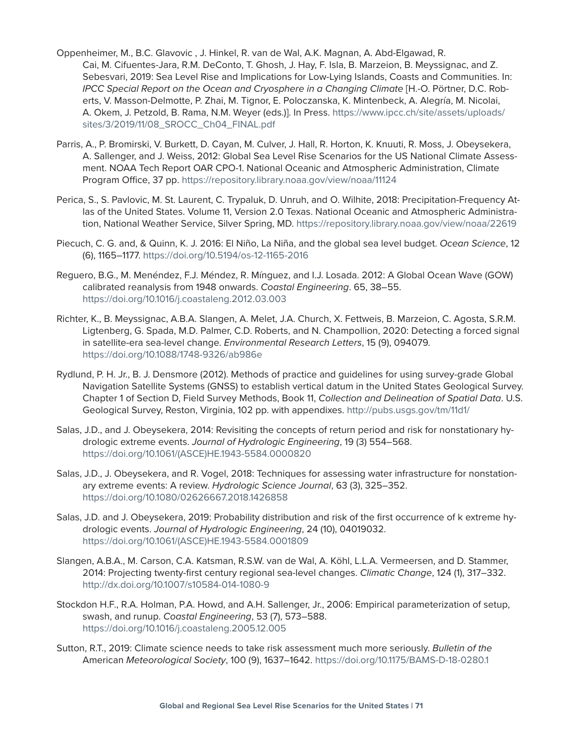- Oppenheimer, M., B.C. Glavovic , J. Hinkel, R. van de Wal, A.K. Magnan, A. Abd-Elgawad, R. Cai, M. Cifuentes-Jara, R.M. DeConto, T. Ghosh, J. Hay, F. Isla, B. Marzeion, B. Meyssignac, and Z. Sebesvari, 2019: Sea Level Rise and Implications for Low-Lying Islands, Coasts and Communities. In: *IPCC Special Report on the Ocean and Cryosphere in a Changing Climate* [H.-O. Pörtner, D.C. Roberts, V. Masson-Delmotte, P. Zhai, M. Tignor, E. Poloczanska, K. Mintenbeck, A. Alegría, M. Nicolai, A. Okem, J. Petzold, B. Rama, N.M. Weyer (eds.)]. In Press. [https://www.ipcc.ch/site/assets/uploads/](https://www.ipcc.ch/site/assets/uploads/sites/3/2019/11/08_SROCC_Ch04_FINAL.pdf) [sites/3/2019/11/08\\_SROCC\\_Ch04\\_FINAL.pdf](https://www.ipcc.ch/site/assets/uploads/sites/3/2019/11/08_SROCC_Ch04_FINAL.pdf)
- Parris, A., P. Bromirski, V. Burkett, D. Cayan, M. Culver, J. Hall, R. Horton, K. Knuuti, R. Moss, J. Obeysekera, A. Sallenger, and J. Weiss, 2012: Global Sea Level Rise Scenarios for the US National Climate Assessment. NOAA Tech Report OAR CPO-1. National Oceanic and Atmospheric Administration, Climate Program Office, 37 pp.<https://repository.library.noaa.gov/view/noaa/11124>
- Perica, S., S. Pavlovic, M. St. Laurent, C. Trypaluk, D. Unruh, and O. Wilhite, 2018: Precipitation-Frequency Atlas of the United States. Volume 11, Version 2.0 Texas. National Oceanic and Atmospheric Administration, National Weather Service, Silver Spring, MD.<https://repository.library.noaa.gov/view/noaa/22619>
- Piecuch, C. G. and, & Quinn, K. J. 2016: El Niño, La Niña, and the global sea level budget. *Ocean Science*, 12 (6), 1165–1177.<https://doi.org/10.5194/os-12-1165-2016>
- Reguero, B.G., M. Menéndez, F.J. Méndez, R. Mínguez, and I.J. Losada. 2012: A Global Ocean Wave (GOW) calibrated reanalysis from 1948 onwards. *Coastal Engineering*. 65, 38–55. <https://doi.org/10.1016/j.coastaleng.2012.03.003>
- Richter, K., B. Meyssignac, A.B.A. Slangen, A. Melet, J.A. Church, X. Fettweis, B. Marzeion, C. Agosta, S.R.M. Ligtenberg, G. Spada, M.D. Palmer, C.D. Roberts, and N. Champollion, 2020: Detecting a forced signal in satellite-era sea-level change. *Environmental Research Letters*, 15 (9), 094079. <https://doi.org/10.1088/1748-9326/ab986e>
- Rydlund, P. H. Jr., B. J. Densmore (2012). Methods of practice and guidelines for using survey-grade Global Navigation Satellite Systems (GNSS) to establish vertical datum in the United States Geological Survey. Chapter 1 of Section D, Field Survey Methods, Book 11, *Collection and Delineation of Spatial Data*. U.S. Geological Survey, Reston, Virginia, 102 pp. with appendixes.<http://pubs.usgs.gov/tm/11d1/>
- Salas, J.D., and J. Obeysekera, 2014: Revisiting the concepts of return period and risk for nonstationary hydrologic extreme events. *Journal of Hydrologic Engineering*, 19 (3) 554–568. [https://doi.org/10.1061/\(ASCE\)HE.1943-5584.0000820](https://doi.org/10.1061/(ASCE)HE.1943-5584.0000820)
- Salas, J.D., J. Obeysekera, and R. Vogel, 2018: Techniques for assessing water infrastructure for nonstationary extreme events: A review. *Hydrologic Science Journal*, 63 (3), 325–352. <https://doi.org/10.1080/02626667.2018.1426858>
- Salas, J.D. and J. Obeysekera, 2019: Probability distribution and risk of the first occurrence of k extreme hydrologic events. *Journal of Hydrologic Engineering*, 24 (10), 04019032. [https://doi.org/10.1061/\(ASCE\)HE.1943-5584.0001809](https://doi.org/10.1061/(ASCE)HE.1943-5584.0001809)
- Slangen, A.B.A., M. Carson, C.A. Katsman, R.S.W. van de Wal, A. Köhl, L.L.A. Vermeersen, and D. Stammer, 2014: Projecting twenty-first century regional sea-level changes. *Climatic Change*, 124 (1), 317–332. <http://dx.doi.org/10.1007/s10584-014-1080-9>
- Stockdon H.F., R.A. Holman, P.A. Howd, and A.H. Sallenger, Jr., 2006: Empirical parameterization of setup, swash, and runup. *Coastal Engineering*, 53 (7), 573–588. <https://doi.org/10.1016/j.coastaleng.2005.12.005>
- Sutton, R.T., 2019: Climate science needs to take risk assessment much more seriously. *Bulletin of the*  American *Meteorological Society*, 100 (9), 1637–1642. <https://doi.org/10.1175/BAMS-D-18-0280.1>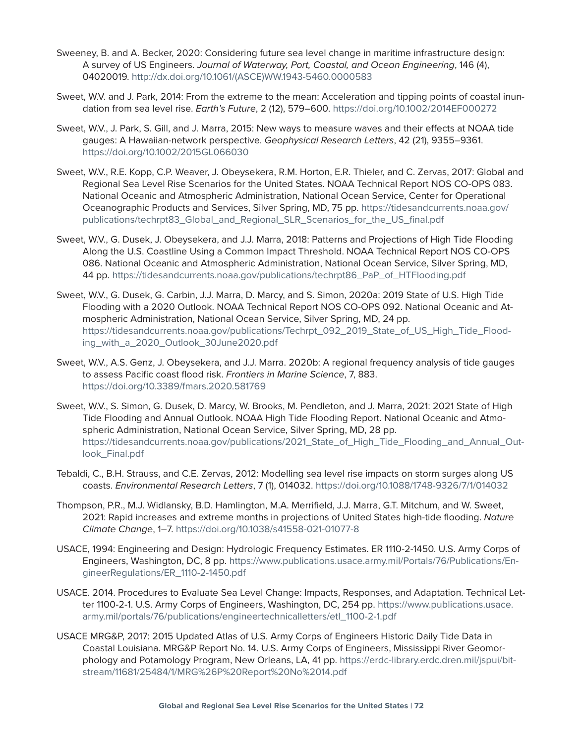- Sweeney, B. and A. Becker, 2020: Considering future sea level change in maritime infrastructure design: A survey of US Engineers. *Journal of Waterway, Port, Coastal, and Ocean Engineering*, 146 (4), 04020019. [http://dx.doi.org/10.1061/\(ASCE\)WW.1943-5460.0000583](http://dx.doi.org/10.1061/(ASCE)WW.1943-5460.0000583)
- Sweet, W.V. and J. Park, 2014: From the extreme to the mean: Acceleration and tipping points of coastal inundation from sea level rise. *Earth's Future*, 2 (12), 579–600. <https://doi.org/10.1002/2014EF000272>
- Sweet, W.V., J. Park, S. Gill, and J. Marra, 2015: New ways to measure waves and their effects at NOAA tide gauges: A Hawaiian-network perspective. *Geophysical Research Letters*, 42 (21), 9355–9361. <https://doi.org/10.1002/2015GL066030>
- Sweet, W.V., R.E. Kopp, C.P. Weaver, J. Obeysekera, R.M. Horton, E.R. Thieler, and C. Zervas, 2017: Global and Regional Sea Level Rise Scenarios for the United States. NOAA Technical Report NOS CO-OPS 083. National Oceanic and Atmospheric Administration, National Ocean Service, Center for Operational Oceanographic Products and Services, Silver Spring, MD, 75 pp. [https://tidesandcurrents.noaa.gov/](https://tidesandcurrents.noaa.gov/publications/techrpt83_Global_and_Regional_SLR_Scenarios_for_the_US_final.pdf) [publications/techrpt83\\_Global\\_and\\_Regional\\_SLR\\_Scenarios\\_for\\_the\\_US\\_final.pdf](https://tidesandcurrents.noaa.gov/publications/techrpt83_Global_and_Regional_SLR_Scenarios_for_the_US_final.pdf)
- Sweet, W.V., G. Dusek, J. Obeysekera, and J.J. Marra, 2018: Patterns and Projections of High Tide Flooding Along the U.S. Coastline Using a Common Impact Threshold. NOAA Technical Report NOS CO-OPS 086. National Oceanic and Atmospheric Administration, National Ocean Service, Silver Spring, MD, 44 pp. [https://tidesandcurrents.noaa.gov/publications/techrpt86\\_PaP\\_of\\_HTFlooding.pdf](https://tidesandcurrents.noaa.gov/publications/techrpt86_PaP_of_HTFlooding.pdf)
- Sweet, W.V., G. Dusek, G. Carbin, J.J. Marra, D. Marcy, and S. Simon, 2020a: 2019 State of U.S. High Tide Flooding with a 2020 Outlook. NOAA Technical Report NOS CO-OPS 092. National Oceanic and Atmospheric Administration, National Ocean Service, Silver Spring, MD, 24 pp. [https://tidesandcurrents.noaa.gov/publications/Techrpt\\_092\\_2019\\_State\\_of\\_US\\_High\\_Tide\\_Flood](https://tidesandcurrents.noaa.gov/publications/Techrpt_092_2019_State_of_US_High_Tide_Flooding_with_a_2020_Outlook_30June2020.pdf)[ing\\_with\\_a\\_2020\\_Outlook\\_30June2020.pdf](https://tidesandcurrents.noaa.gov/publications/Techrpt_092_2019_State_of_US_High_Tide_Flooding_with_a_2020_Outlook_30June2020.pdf)
- Sweet, W.V., A.S. Genz, J. Obeysekera, and J.J. Marra. 2020b: A regional frequency analysis of tide gauges to assess Pacific coast flood risk. *Frontiers in Marine Science*, 7, 883. <https://doi.org/10.3389/fmars.2020.581769>
- Sweet, W.V., S. Simon, G. Dusek, D. Marcy, W. Brooks, M. Pendleton, and J. Marra, 2021: 2021 State of High Tide Flooding and Annual Outlook. NOAA High Tide Flooding Report. National Oceanic and Atmospheric Administration, National Ocean Service, Silver Spring, MD, 28 pp. [https://tidesandcurrents.noaa.gov/publications/2021\\_State\\_of\\_High\\_Tide\\_Flooding\\_and\\_Annual\\_Out](https://tidesandcurrents.noaa.gov/publications/2021_State_of_High_Tide_Flooding_and_Annual_Outlook_Final.pdf)[look\\_Final.pdf](https://tidesandcurrents.noaa.gov/publications/2021_State_of_High_Tide_Flooding_and_Annual_Outlook_Final.pdf)
- Tebaldi, C., B.H. Strauss, and C.E. Zervas, 2012: Modelling sea level rise impacts on storm surges along US coasts. *Environmental Research Letters*, 7 (1), 014032. <https://doi.org/10.1088/1748-9326/7/1/014032>
- Thompson, P.R., M.J. Widlansky, B.D. Hamlington, M.A. Merrifield, J.J. Marra, G.T. Mitchum, and W. Sweet, 2021: Rapid increases and extreme months in projections of United States high-tide flooding. *Nature Climate Change*, 1–7. <https://doi.org/10.1038/s41558-021-01077-8>
- USACE, 1994: Engineering and Design: Hydrologic Frequency Estimates. ER 1110-2-1450. U.S. Army Corps of Engineers, Washington, DC, 8 pp. [https://www.publications.usace.army.mil/Portals/76/Publications/En](https://www.publications.usace.army.mil/Portals/76/Publications/EngineerRegulations/ER_1110-2-1450.pdf)[gineerRegulations/ER\\_1110-2-1450.pdf](https://www.publications.usace.army.mil/Portals/76/Publications/EngineerRegulations/ER_1110-2-1450.pdf)
- USACE. 2014. Procedures to Evaluate Sea Level Change: Impacts, Responses, and Adaptation. Technical Letter 1100-2-1. U.S. Army Corps of Engineers, Washington, DC, 254 pp. [https://www.publications.usace.](https://www.publications.usace.army.mil/portals/76/publications/engineertechnicalletters/etl_1100-2-1.pdf) [army.mil/portals/76/publications/engineertechnicalletters/etl\\_1100-2-1.pdf](https://www.publications.usace.army.mil/portals/76/publications/engineertechnicalletters/etl_1100-2-1.pdf)
- USACE MRG&P, 2017: 2015 Updated Atlas of U.S. Army Corps of Engineers Historic Daily Tide Data in Coastal Louisiana. MRG&P Report No. 14. U.S. Army Corps of Engineers, Mississippi River Geomorphology and Potamology Program, New Orleans, LA, 41 pp. [https://erdc-library.erdc.dren.mil/jspui/bit](https://erdc-library.erdc.dren.mil/jspui/bitstream/11681/25484/1/MRG%26P%20Report%20No%2014.pdf)[stream/11681/25484/1/MRG%26P%20Report%20No%2014.pdf](https://erdc-library.erdc.dren.mil/jspui/bitstream/11681/25484/1/MRG%26P%20Report%20No%2014.pdf)